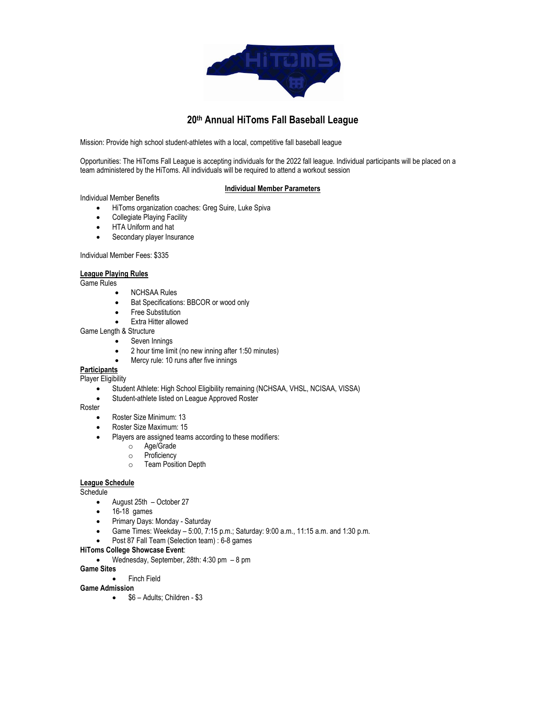

# **20th Annual HiToms Fall Baseball League**

Mission: Provide high school student-athletes with a local, competitive fall baseball league

Opportunities: The HiToms Fall League is accepting individuals for the 2022 fall league. Individual participants will be placed on a team administered by the HiToms. All individuals will be required to attend a workout session

### **Individual Member Parameters**

Individual Member Benefits

- HiToms organization coaches: Greg Suire, Luke Spiva
- Collegiate Playing Facility
- HTA Uniform and hat
- Secondary player Insurance

#### Individual Member Fees: \$335

### **League Playing Rules**

Game Rules

- NCHSAA Rules
- Bat Specifications: BBCOR or wood only
- Free Substitution
- Extra Hitter allowed
- Game Length & Structure
	- Seven Innings
		- 2 hour time limit (no new inning after 1:50 minutes)
	- Mercy rule: 10 runs after five innings

## **Participants**

- Player Eligibility
	- Student Athlete: High School Eligibility remaining (NCHSAA, VHSL, NCISAA, VISSA)
	- Student-athlete listed on League Approved Roster

Roster

- Roster Size Minimum: 13
- Roster Size Maximum: 15
- Players are assigned teams according to these modifiers:
	- o Age/Grade
	- o Proficiency
	- o Team Position Depth

### **League Schedule**

**Schedule** 

- August 25th October 27
- 16-18 games
- Primary Days: Monday Saturday
- Game Times: Weekday 5:00, 7:15 p.m.; Saturday: 9:00 a.m., 11:15 a.m. and 1:30 p.m.
- Post 87 Fall Team (Selection team) : 6-8 games

#### **HiToms College Showcase Event**:

• Wednesday, September, 28th: 4:30 pm – 8 pm

### **Game Sites**

• Finch Field

### **Game Admission**

•  $$6 -$  Adults; Children - \$3